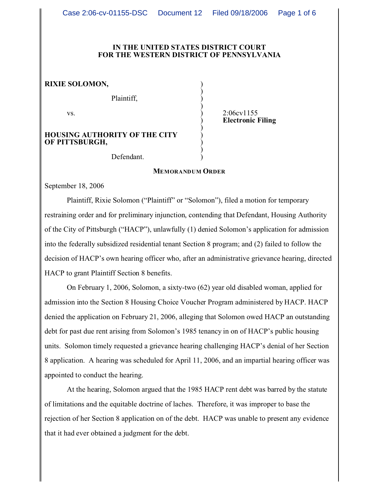#### **IN THE UNITED STATES DISTRICT COURT FOR THE WESTERN DISTRICT OF PENNSYLVANIA**

)

)

)

)

**RIXIE SOLOMON,** )

Plaintiff, )

**HOUSING AUTHORITY OF THE CITY** ) **OF PITTSBURGH,** )

vs. 2:06cv1155 ) **Electronic Filing**

Defendant.

### **MEMORANDUM ORDER**

September 18, 2006

Plaintiff, Rixie Solomon ("Plaintiff" or "Solomon"), filed a motion for temporary restraining order and for preliminary injunction, contending that Defendant, Housing Authority of the City of Pittsburgh ("HACP"), unlawfully (1) denied Solomon's application for admission into the federally subsidized residential tenant Section 8 program; and (2) failed to follow the decision of HACP's own hearing officer who, after an administrative grievance hearing, directed HACP to grant Plaintiff Section 8 benefits.

On February 1, 2006, Solomon, a sixty-two (62) year old disabled woman, applied for admission into the Section 8 Housing Choice Voucher Program administered by HACP. HACP denied the application on February 21, 2006, alleging that Solomon owed HACP an outstanding debt for past due rent arising from Solomon's 1985 tenancy in on of HACP's public housing units. Solomon timely requested a grievance hearing challenging HACP's denial of her Section 8 application. A hearing was scheduled for April 11, 2006, and an impartial hearing officer was appointed to conduct the hearing.

At the hearing, Solomon argued that the 1985 HACP rent debt was barred by the statute of limitations and the equitable doctrine of laches. Therefore, it was improper to base the rejection of her Section 8 application on of the debt. HACP was unable to present any evidence that it had ever obtained a judgment for the debt.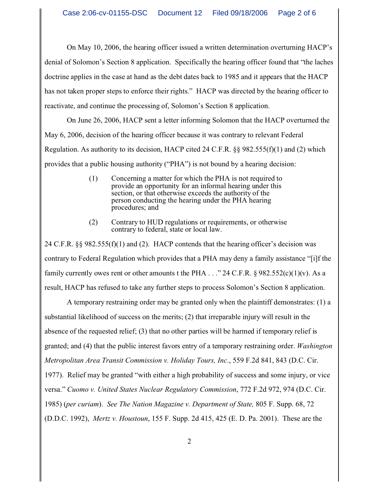On May 10, 2006, the hearing officer issued a written determination overturning HACP's denial of Solomon's Section 8 application. Specifically the hearing officer found that "the laches doctrine applies in the case at hand as the debt dates back to 1985 and it appears that the HACP has not taken proper steps to enforce their rights." HACP was directed by the hearing officer to reactivate, and continue the processing of, Solomon's Section 8 application.

On June 26, 2006, HACP sent a letter informing Solomon that the HACP overturned the May 6, 2006, decision of the hearing officer because it was contrary to relevant Federal Regulation. As authority to its decision, HACP cited 24 C.F.R. §§ 982.555(f)(1) and (2) which provides that a public housing authority ("PHA") is not bound by a hearing decision:

- (1) Concerning a matter for which the PHA is not required to provide an opportunity for an informal hearing under this section, or that otherwise exceeds the authority of the person conducting the hearing under the PHA hearing procedures; and
- (2) Contrary to HUD regulations or requirements, or otherwise contrary to federal, state or local law.

24 C.F.R. §§ 982.555(f)(1) and (2). HACP contends that the hearing officer's decision was contrary to Federal Regulation which provides that a PHA may deny a family assistance "[i]f the family currently owes rent or other amounts t the PHA  $\ldots$  " 24 C.F.R. § 982.552(c)(1)(v). As a result, HACP has refused to take any further steps to process Solomon's Section 8 application.

A temporary restraining order may be granted only when the plaintiff demonstrates: (1) a substantial likelihood of success on the merits; (2) that irreparable injury will result in the absence of the requested relief; (3) that no other parties will be harmed if temporary relief is granted; and (4) that the public interest favors entry of a temporary restraining order. *Washington Metropolitan Area Transit Commission v. Holiday Tours, Inc*., 559 F.2d 841, 843 (D.C. Cir. 1977). Relief may be granted "with either a high probability of success and some injury, or vice versa." *Cuomo v. United States Nuclear Regulatory Commission*, 772 F.2d 972, 974 (D.C. Cir. 1985) (*per curiam*). *See The Nation Magazine v. Department of State,* 805 F. Supp. 68, 72 (D.D.C. 1992), *Mertz v. Houstoun*, 155 F. Supp. 2d 415, 425 (E. D. Pa. 2001). These are the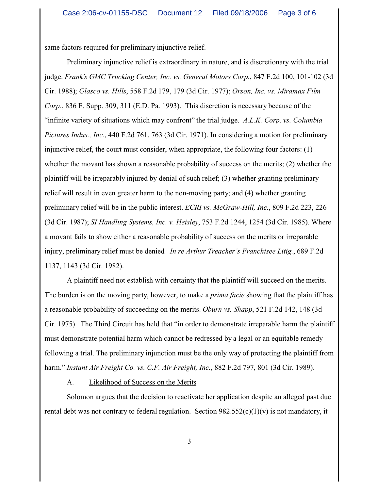same factors required for preliminary injunctive relief.

Preliminary injunctive relief is extraordinary in nature, and is discretionary with the trial judge. *Frank's GMC Trucking Center, Inc. vs. General Motors Corp.*, 847 F.2d 100, 101-102 (3d Cir. 1988); *Glasco vs. Hills*, 558 F.2d 179, 179 (3d Cir. 1977); *Orson, Inc. vs. Miramax Film Corp.*, 836 F. Supp. 309, 311 (E.D. Pa. 1993). This discretion is necessary because of the "infinite variety of situations which may confront" the trial judge. *A.L.K. Corp. vs. Columbia Pictures Indus., Inc.*, 440 F.2d 761, 763 (3d Cir. 1971). In considering a motion for preliminary injunctive relief, the court must consider, when appropriate, the following four factors: (1) whether the movant has shown a reasonable probability of success on the merits; (2) whether the plaintiff will be irreparably injured by denial of such relief; (3) whether granting preliminary relief will result in even greater harm to the non-moving party; and (4) whether granting preliminary relief will be in the public interest. *ECRI vs. McGraw-Hill, Inc.*, 809 F.2d 223, 226 (3d Cir. 1987); *SI Handling Systems, Inc. v. Heisley*, 753 F.2d 1244, 1254 (3d Cir. 1985). Where a movant fails to show either a reasonable probability of success on the merits or irreparable injury, preliminary relief must be denied*. In re Arthur Treacher's Franchisee Litig.*, 689 F.2d 1137, 1143 (3d Cir. 1982).

A plaintiff need not establish with certainty that the plaintiff will succeed on the merits. The burden is on the moving party, however, to make a *prima facie* showing that the plaintiff has a reasonable probability of succeeding on the merits. *Oburn vs. Shapp*, 521 F.2d 142, 148 (3d Cir. 1975). The Third Circuit has held that "in order to demonstrate irreparable harm the plaintiff must demonstrate potential harm which cannot be redressed by a legal or an equitable remedy following a trial. The preliminary injunction must be the only way of protecting the plaintiff from harm." *Instant Air Freight Co. vs. C.F. Air Freight, Inc.*, 882 F.2d 797, 801 (3d Cir. 1989).

## A. Likelihood of Success on the Merits

Solomon argues that the decision to reactivate her application despite an alleged past due rental debt was not contrary to federal regulation. Section  $982.552(c)(1)(v)$  is not mandatory, it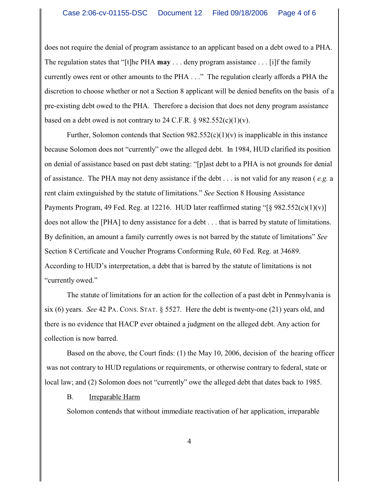does not require the denial of program assistance to an applicant based on a debt owed to a PHA. The regulation states that "[t]he PHA **may** . . . deny program assistance . . . [i]f the family currently owes rent or other amounts to the PHA . . ." The regulation clearly affords a PHA the discretion to choose whether or not a Section 8 applicant will be denied benefits on the basis of a pre-existing debt owed to the PHA. Therefore a decision that does not deny program assistance based on a debt owed is not contrary to 24 C.F.R.  $\S$  982.552(c)(1)(v).

Further, Solomon contends that Section  $982.552(c)(1)(v)$  is inapplicable in this instance because Solomon does not "currently" owe the alleged debt. In 1984, HUD clarified its position on denial of assistance based on past debt stating: "[p]ast debt to a PHA is not grounds for denial of assistance. The PHA may not deny assistance if the debt . . . is not valid for any reason ( *e.g.* a rent claim extinguished by the statute of limitations." *See* Section 8 Housing Assistance Payments Program, 49 Fed. Reg. at 12216. HUD later reaffirmed stating "[§ 982.552(c)(1)(v)] does not allow the [PHA] to deny assistance for a debt . . . that is barred by statute of limitations. By definition, an amount a family currently owes is not barred by the statute of limitations" *See*  Section 8 Certificate and Voucher Programs Conforming Rule, 60 Fed. Reg. at 34689. According to HUD's interpretation, a debt that is barred by the statute of limitations is not "currently owed."

The statute of limitations for an action for the collection of a past debt in Pennsylvania is six (6) years. *See* 42 PA. CONS. STAT. § 5527. Here the debt is twenty-one (21) years old, and there is no evidence that HACP ever obtained a judgment on the alleged debt. Any action for collection is now barred.

Based on the above, the Court finds: (1) the May 10, 2006, decision of the hearing officer was not contrary to HUD regulations or requirements, or otherwise contrary to federal, state or local law; and (2) Solomon does not "currently" owe the alleged debt that dates back to 1985.

# B. Irreparable Harm

Solomon contends that without immediate reactivation of her application, irreparable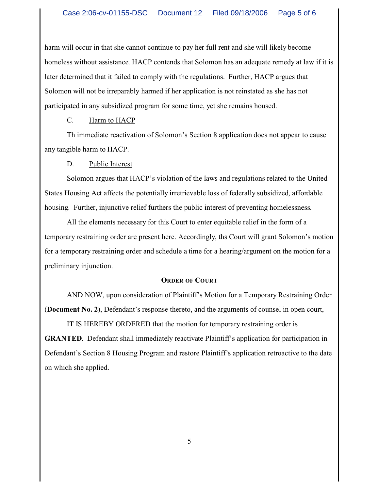harm will occur in that she cannot continue to pay her full rent and she will likely become homeless without assistance. HACP contends that Solomon has an adequate remedy at law if it is later determined that it failed to comply with the regulations. Further, HACP argues that Solomon will not be irreparably harmed if her application is not reinstated as she has not participated in any subsidized program for some time, yet she remains housed.

C. Harm to HACP

Th immediate reactivation of Solomon's Section 8 application does not appear to cause any tangible harm to HACP.

D. Public Interest

Solomon argues that HACP's violation of the laws and regulations related to the United States Housing Act affects the potentially irretrievable loss of federally subsidized, affordable housing. Further, injunctive relief furthers the public interest of preventing homelessness.

All the elements necessary for this Court to enter equitable relief in the form of a temporary restraining order are present here. Accordingly, ths Court will grant Solomon's motion for a temporary restraining order and schedule a time for a hearing/argument on the motion for a preliminary injunction.

### **ORDER OF COURT**

AND NOW, upon consideration of Plaintiff's Motion for a Temporary Restraining Order (**Document No. 2**), Defendant's response thereto, and the arguments of counsel in open court,

IT IS HEREBY ORDERED that the motion for temporary restraining order is **GRANTED.** Defendant shall immediately reactivate Plaintiff's application for participation in Defendant's Section 8 Housing Program and restore Plaintiff's application retroactive to the date on which she applied.